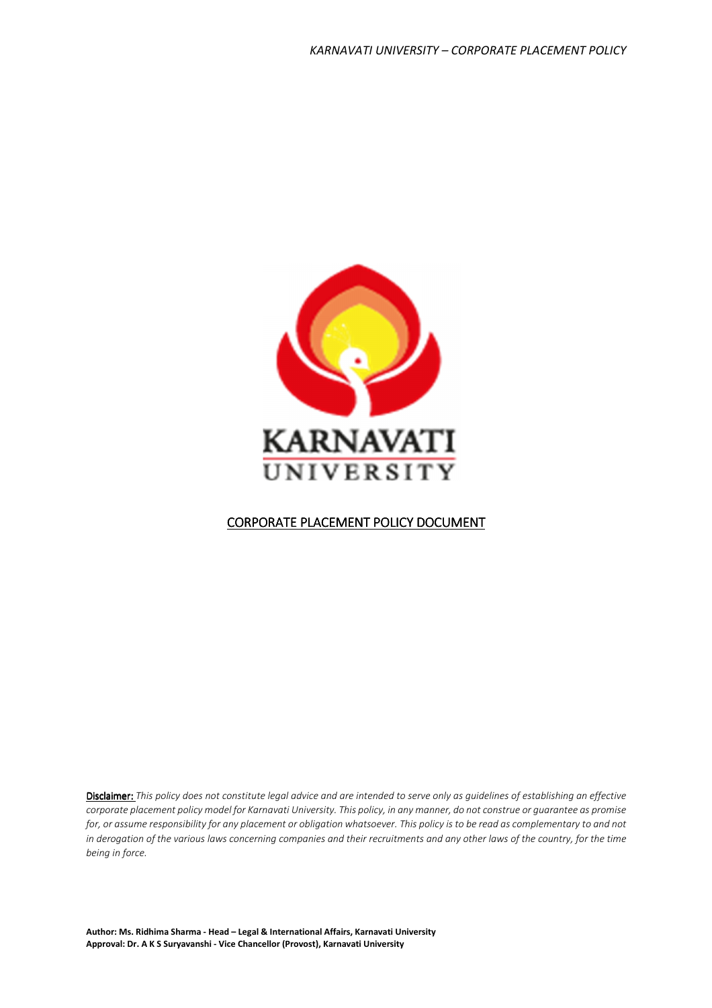

# CORPORATE PLACEMENT POLICY DOCUMENT

Disclaimer: This policy does not constitute legal advice and are intended to serve only as guidelines of establishing an effective corporate placement policy model for Karnavati University. This policy, in any manner, do not construe or guarantee as promise for, or assume responsibility for any placement or obligation whatsoever. This policy is to be read as complementary to and not in derogation of the various laws concerning companies and their recruitments and any other laws of the country, for the time being in force.

Author: Ms. Ridhima Sharma - Head – Legal & International Affairs, Karnavati University Approval: Dr. A K S Suryavanshi - Vice Chancellor (Provost), Karnavati University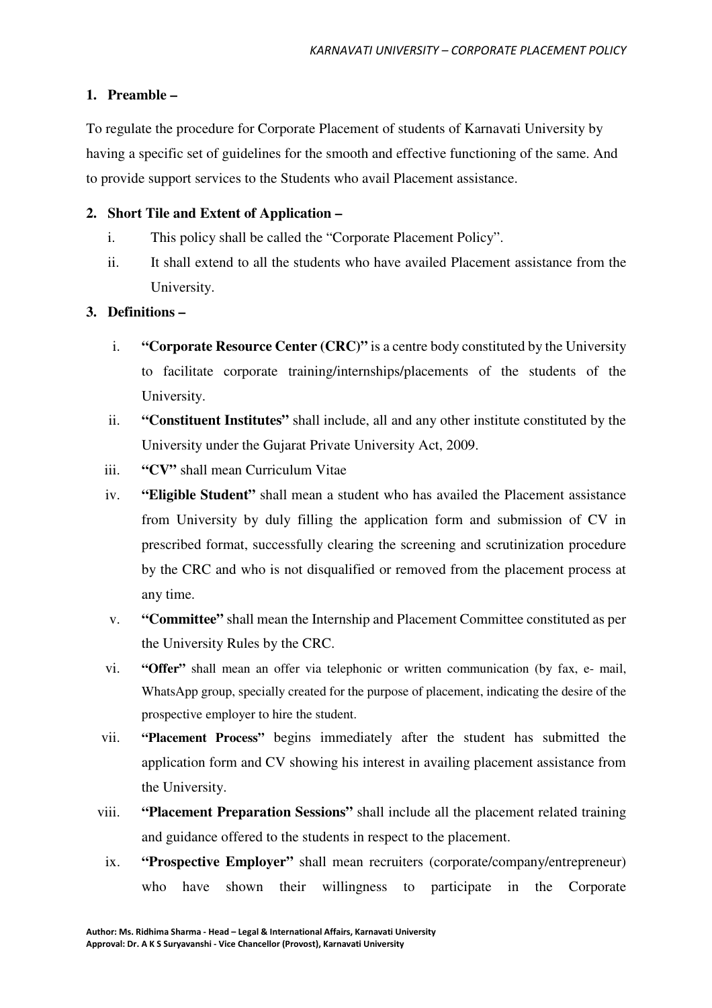## **1. Preamble –**

To regulate the procedure for Corporate Placement of students of Karnavati University by having a specific set of guidelines for the smooth and effective functioning of the same. And to provide support services to the Students who avail Placement assistance.

## **2. Short Tile and Extent of Application –**

- i. This policy shall be called the "Corporate Placement Policy".
- ii. It shall extend to all the students who have availed Placement assistance from the University.

## **3. Definitions –**

- i. **"Corporate Resource Center (CRC)"** is a centre body constituted by the University to facilitate corporate training/internships/placements of the students of the University.
- ii. **"Constituent Institutes"** shall include, all and any other institute constituted by the University under the Gujarat Private University Act, 2009.
- iii. **"CV"** shall mean Curriculum Vitae
- iv. **"Eligible Student"** shall mean a student who has availed the Placement assistance from University by duly filling the application form and submission of CV in prescribed format, successfully clearing the screening and scrutinization procedure by the CRC and who is not disqualified or removed from the placement process at any time.
- v. **"Committee"** shall mean the Internship and Placement Committee constituted as per the University Rules by the CRC.
- vi. **"Offer"** shall mean an offer via telephonic or written communication (by fax, e- mail, WhatsApp group, specially created for the purpose of placement, indicating the desire of the prospective employer to hire the student.
- vii. **"Placement Process"** begins immediately after the student has submitted the application form and CV showing his interest in availing placement assistance from the University.
- viii. **"Placement Preparation Sessions"** shall include all the placement related training and guidance offered to the students in respect to the placement.
- ix. **"Prospective Employer"** shall mean recruiters (corporate/company/entrepreneur) who have shown their willingness to participate in the Corporate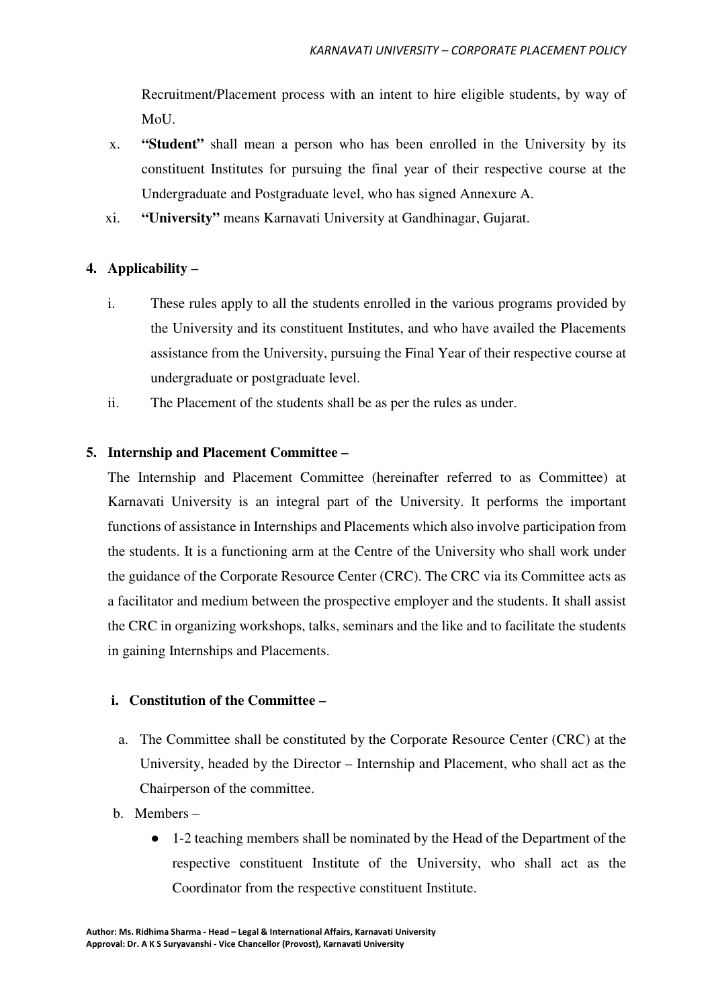Recruitment/Placement process with an intent to hire eligible students, by way of MoU.

- x. **"Student"** shall mean a person who has been enrolled in the University by its constituent Institutes for pursuing the final year of their respective course at the Undergraduate and Postgraduate level, who has signed Annexure A.
- xi. **"University"** means Karnavati University at Gandhinagar, Gujarat.

## **4. Applicability –**

- i. These rules apply to all the students enrolled in the various programs provided by the University and its constituent Institutes, and who have availed the Placements assistance from the University, pursuing the Final Year of their respective course at undergraduate or postgraduate level.
- ii. The Placement of the students shall be as per the rules as under.

#### **5. Internship and Placement Committee –**

The Internship and Placement Committee (hereinafter referred to as Committee) at Karnavati University is an integral part of the University. It performs the important functions of assistance in Internships and Placements which also involve participation from the students. It is a functioning arm at the Centre of the University who shall work under the guidance of the Corporate Resource Center (CRC). The CRC via its Committee acts as a facilitator and medium between the prospective employer and the students. It shall assist the CRC in organizing workshops, talks, seminars and the like and to facilitate the students in gaining Internships and Placements.

#### **i. Constitution of the Committee –**

- a. The Committee shall be constituted by the Corporate Resource Center (CRC) at the University, headed by the Director – Internship and Placement, who shall act as the Chairperson of the committee.
- b. Members
	- 1-2 teaching members shall be nominated by the Head of the Department of the respective constituent Institute of the University, who shall act as the Coordinator from the respective constituent Institute.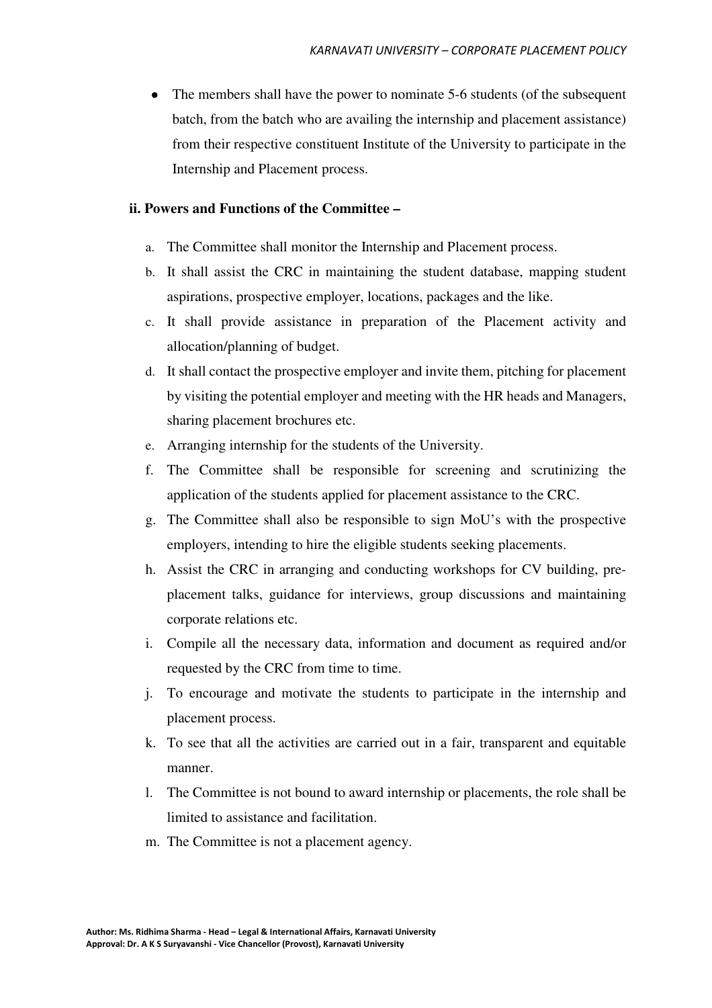The members shall have the power to nominate 5-6 students (of the subsequent batch, from the batch who are availing the internship and placement assistance) from their respective constituent Institute of the University to participate in the Internship and Placement process.

#### **ii. Powers and Functions of the Committee –**

- a. The Committee shall monitor the Internship and Placement process.
- b. It shall assist the CRC in maintaining the student database, mapping student aspirations, prospective employer, locations, packages and the like.
- c. It shall provide assistance in preparation of the Placement activity and allocation/planning of budget.
- d. It shall contact the prospective employer and invite them, pitching for placement by visiting the potential employer and meeting with the HR heads and Managers, sharing placement brochures etc.
- e. Arranging internship for the students of the University.
- f. The Committee shall be responsible for screening and scrutinizing the application of the students applied for placement assistance to the CRC.
- g. The Committee shall also be responsible to sign MoU's with the prospective employers, intending to hire the eligible students seeking placements.
- h. Assist the CRC in arranging and conducting workshops for CV building, preplacement talks, guidance for interviews, group discussions and maintaining corporate relations etc.
- i. Compile all the necessary data, information and document as required and/or requested by the CRC from time to time.
- j. To encourage and motivate the students to participate in the internship and placement process.
- k. To see that all the activities are carried out in a fair, transparent and equitable manner.
- l. The Committee is not bound to award internship or placements, the role shall be limited to assistance and facilitation.
- m. The Committee is not a placement agency.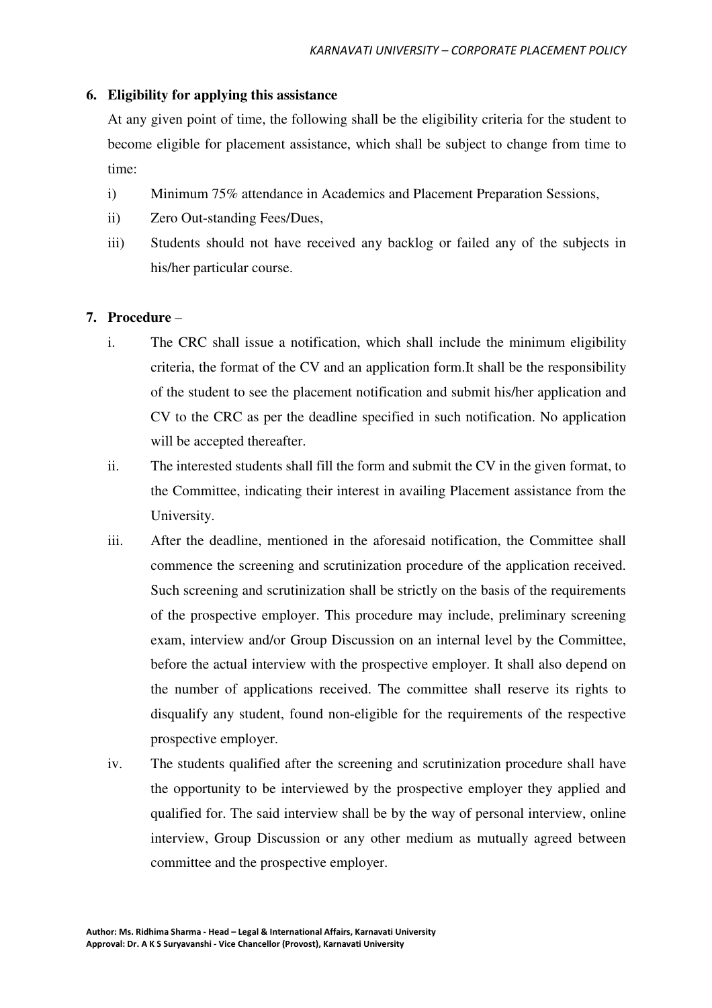#### **6. Eligibility for applying this assistance**

At any given point of time, the following shall be the eligibility criteria for the student to become eligible for placement assistance, which shall be subject to change from time to time:

- i) Minimum 75% attendance in Academics and Placement Preparation Sessions,
- ii) Zero Out-standing Fees/Dues,
- iii) Students should not have received any backlog or failed any of the subjects in his/her particular course.

#### **7. Procedure** –

- i. The CRC shall issue a notification, which shall include the minimum eligibility criteria, the format of the CV and an application form.It shall be the responsibility of the student to see the placement notification and submit his/her application and CV to the CRC as per the deadline specified in such notification. No application will be accepted thereafter.
- ii. The interested students shall fill the form and submit the CV in the given format, to the Committee, indicating their interest in availing Placement assistance from the University.
- iii. After the deadline, mentioned in the aforesaid notification, the Committee shall commence the screening and scrutinization procedure of the application received. Such screening and scrutinization shall be strictly on the basis of the requirements of the prospective employer. This procedure may include, preliminary screening exam, interview and/or Group Discussion on an internal level by the Committee, before the actual interview with the prospective employer. It shall also depend on the number of applications received. The committee shall reserve its rights to disqualify any student, found non-eligible for the requirements of the respective prospective employer.
- iv. The students qualified after the screening and scrutinization procedure shall have the opportunity to be interviewed by the prospective employer they applied and qualified for. The said interview shall be by the way of personal interview, online interview, Group Discussion or any other medium as mutually agreed between committee and the prospective employer.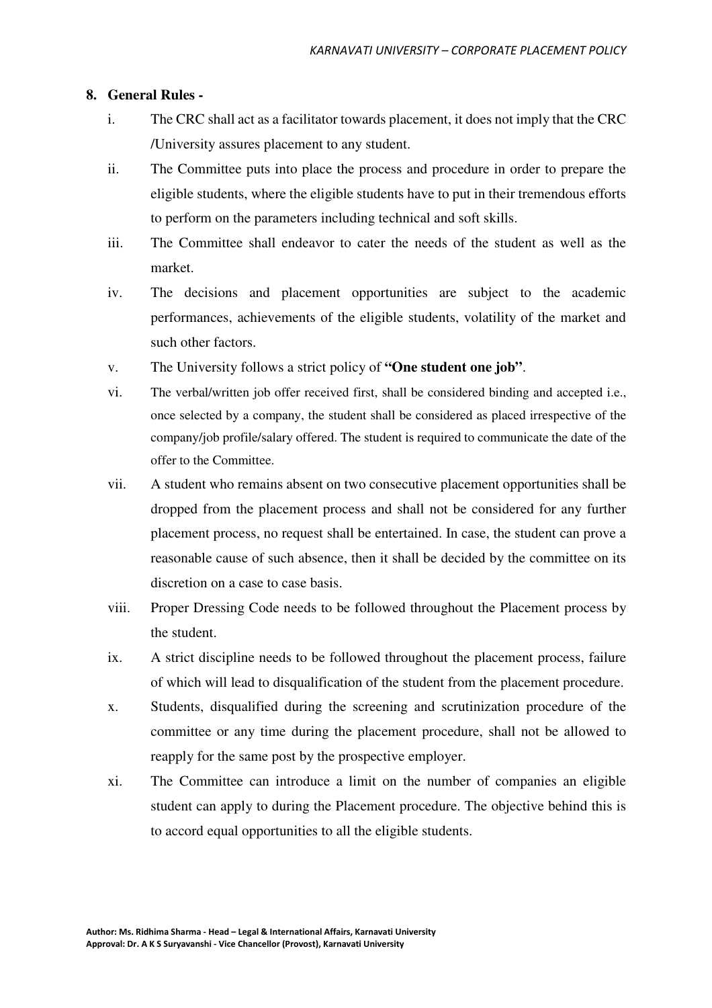#### **8. General Rules -**

- i. The CRC shall act as a facilitator towards placement, it does not imply that the CRC /University assures placement to any student.
- ii. The Committee puts into place the process and procedure in order to prepare the eligible students, where the eligible students have to put in their tremendous efforts to perform on the parameters including technical and soft skills.
- iii. The Committee shall endeavor to cater the needs of the student as well as the market.
- iv. The decisions and placement opportunities are subject to the academic performances, achievements of the eligible students, volatility of the market and such other factors.
- v. The University follows a strict policy of **"One student one job"**.
- vi. The verbal/written job offer received first, shall be considered binding and accepted i.e., once selected by a company, the student shall be considered as placed irrespective of the company/job profile/salary offered. The student is required to communicate the date of the offer to the Committee.
- vii. A student who remains absent on two consecutive placement opportunities shall be dropped from the placement process and shall not be considered for any further placement process, no request shall be entertained. In case, the student can prove a reasonable cause of such absence, then it shall be decided by the committee on its discretion on a case to case basis.
- viii. Proper Dressing Code needs to be followed throughout the Placement process by the student.
- ix. A strict discipline needs to be followed throughout the placement process, failure of which will lead to disqualification of the student from the placement procedure.
- x. Students, disqualified during the screening and scrutinization procedure of the committee or any time during the placement procedure, shall not be allowed to reapply for the same post by the prospective employer.
- xi. The Committee can introduce a limit on the number of companies an eligible student can apply to during the Placement procedure. The objective behind this is to accord equal opportunities to all the eligible students.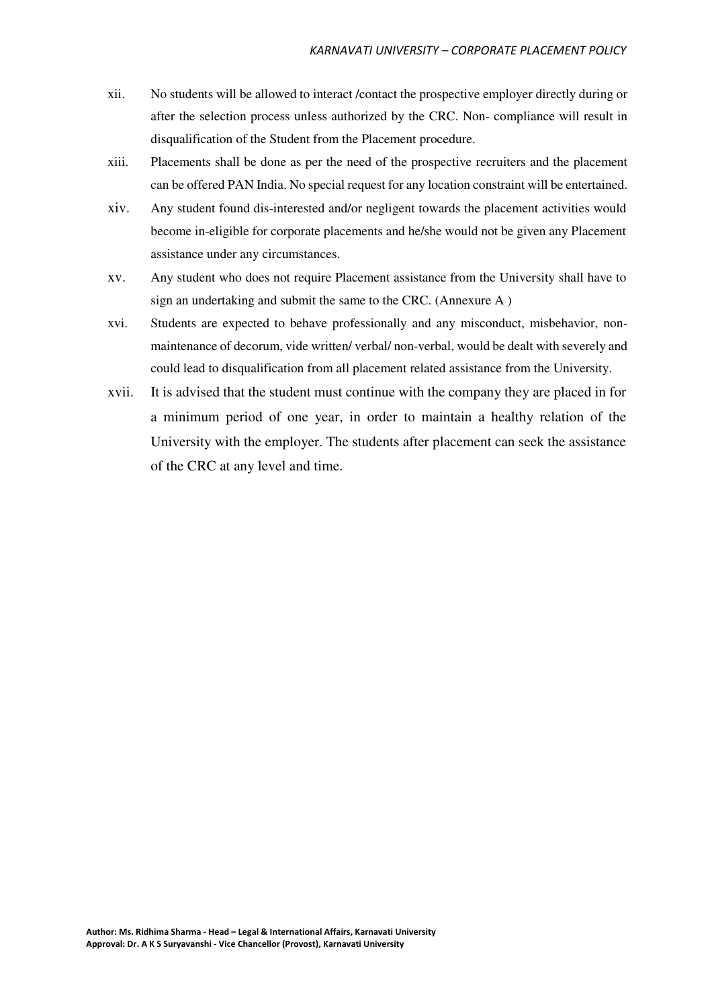- xii. No students will be allowed to interact /contact the prospective employer directly during or after the selection process unless authorized by the CRC. Non- compliance will result in disqualification of the Student from the Placement procedure.
- xiii. Placements shall be done as per the need of the prospective recruiters and the placement can be offered PAN India. No special request for any location constraint will be entertained.
- xiv. Any student found dis-interested and/or negligent towards the placement activities would become in-eligible for corporate placements and he/she would not be given any Placement assistance under any circumstances.
- xv. Any student who does not require Placement assistance from the University shall have to sign an undertaking and submit the same to the CRC. (Annexure A )
- xvi. Students are expected to behave professionally and any misconduct, misbehavior, nonmaintenance of decorum, vide written/ verbal/ non-verbal, would be dealt with severely and could lead to disqualification from all placement related assistance from the University.
- xvii. It is advised that the student must continue with the company they are placed in for a minimum period of one year, in order to maintain a healthy relation of the University with the employer. The students after placement can seek the assistance of the CRC at any level and time.